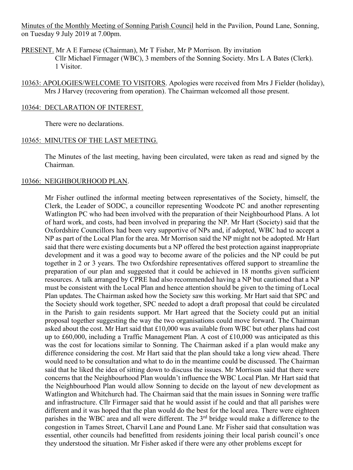Minutes of the Monthly Meeting of Sonning Parish Council held in the Pavilion, Pound Lane, Sonning, on Tuesday 9 July 2019 at 7.00pm.

PRESENT. Mr A E Farnese (Chairman), Mr T Fisher, Mr P Morrison. By invitation Cllr Michael Firmager (WBC), 3 members of the Sonning Society. Mrs L A Bates (Clerk). 1 Visitor.

10363: APOLOGIES/WELCOME TO VISITORS. Apologies were received from Mrs J Fielder (holiday), Mrs J Harvey (recovering from operation). The Chairman welcomed all those present.

### 10364: DECLARATION OF INTEREST.

There were no declarations.

#### 10365: MINUTES OF THE LAST MEETING.

The Minutes of the last meeting, having been circulated, were taken as read and signed by the Chairman.

### 10366: NEIGHBOURHOOD PLAN.

Mr Fisher outlined the informal meeting between representatives of the Society, himself, the Clerk, the Leader of SODC, a councillor representing Woodcote PC and another representing Watlington PC who had been involved with the preparation of their Neighbourhood Plans. A lot of hard work, and costs, had been involved in preparing the NP. Mr Hart (Society) said that the Oxfordshire Councillors had been very supportive of NPs and, if adopted, WBC had to accept a NP as part of the Local Plan for the area. Mr Morrison said the NP might not be adopted. Mr Hart said that there were existing documents but a NP offered the best protection against inappropriate development and it was a good way to become aware of the policies and the NP could be put together in 2 or 3 years. The two Oxfordshire representatives offered support to streamline the preparation of our plan and suggested that it could be achieved in 18 months given sufficient resources. A talk arranged by CPRE had also recommended having a NP but cautioned that a NP must be consistent with the Local Plan and hence attention should be given to the timing of Local Plan updates. The Chairman asked how the Society saw this working. Mr Hart said that SPC and the Society should work together, SPC needed to adopt a draft proposal that could be circulated in the Parish to gain residents support. Mr Hart agreed that the Society could put an initial proposal together suggesting the way the two organisations could move forward. The Chairman asked about the cost. Mr Hart said that £10,000 was available from WBC but other plans had cost up to £60,000, including a Traffic Management Plan. A cost of £10,000 was anticipated as this was the cost for locations similar to Sonning. The Chairman asked if a plan would make any difference considering the cost. Mr Hart said that the plan should take a long view ahead. There would need to be consultation and what to do in the meantime could be discussed. The Chairman said that he liked the idea of sitting down to discuss the issues. Mr Morrison said that there were concerns that the Neighbourhood Plan wouldn't influence the WBC Local Plan. Mr Hart said that the Neighbourhood Plan would allow Sonning to decide on the layout of new development as Watlington and Whitchurch had. The Chairman said that the main issues in Sonning were traffic and infrastructure. Cllr Firmager said that he would assist if he could and that all parishes were different and it was hoped that the plan would do the best for the local area. There were eighteen parishes in the WBC area and all were different. The 3<sup>rd</sup> bridge would make a difference to the congestion in Tames Street, Charvil Lane and Pound Lane. Mr Fisher said that consultation was essential, other councils had benefitted from residents joining their local parish council's once they understood the situation. Mr Fisher asked if there were any other problems except for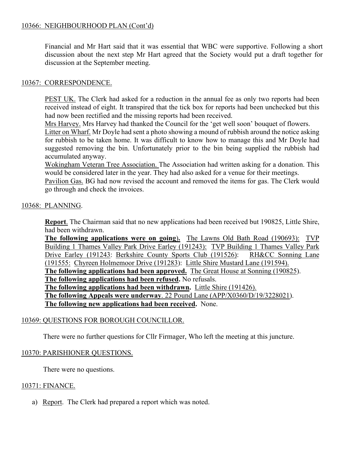## 10366: NEIGHBOURHOOD PLAN (Cont'd)

Financial and Mr Hart said that it was essential that WBC were supportive. Following a short discussion about the next step Mr Hart agreed that the Society would put a draft together for discussion at the September meeting.

### 10367: CORRESPONDENCE.

PEST UK. The Clerk had asked for a reduction in the annual fee as only two reports had been received instead of eight. It transpired that the tick box for reports had been unchecked but this had now been rectified and the missing reports had been received.

Mrs Harvey. Mrs Harvey had thanked the Council for the 'get well soon' bouquet of flowers.

Litter on Wharf. Mr Doyle had sent a photo showing a mound of rubbish around the notice asking for rubbish to be taken home. It was difficult to know how to manage this and Mr Doyle had suggested removing the bin. Unfortunately prior to the bin being supplied the rubbish had accumulated anyway.

Wokingham Veteran Tree Association. The Association had written asking for a donation. This would be considered later in the year. They had also asked for a venue for their meetings.

Pavilion Gas. BG had now revised the account and removed the items for gas. The Clerk would go through and check the invoices.

# 10368: PLANNING.

**Report**. The Chairman said that no new applications had been received but 190825, Little Shire, had been withdrawn.

**The following applications were on going**)**.** The Lawns Old Bath Road (190693): TVP Building 1 Thames Valley Park Drive Earley (191243): TVP Building 1 Thames Valley Park Drive Earley (191243: Berkshire County Sports Club (191526): RH&CC Sonning Lane (191555: Chyreen Holmemoor Drive (191283): Little Shire Mustard Lane (191594). **The following applications had been approved.** The Great House at Sonning (190825). **The following applications had been refused.** No refusals. **The following applications had been withdrawn.** Little Shire (191426). **The following Appeals were underway**. 22 Pound Lane (APP/X0360/D/19/3228021). **The following new applications had been received.** None.

# 10369: QUESTIONS FOR BOROUGH COUNCILLOR.

There were no further questions for Cllr Firmager, Who left the meeting at this juncture.

# 10370: PARISHIONER QUESTIONS.

There were no questions.

### 10371: FINANCE.

a) Report. The Clerk had prepared a report which was noted.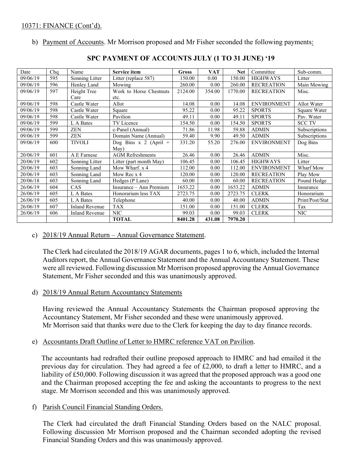b) Payment of Accounts. Mr Morrison proposed and Mr Fisher seconded the following payments:

| Date     | Chq | Name                  | <b>Service item</b>     | Gross   | <b>VAT</b> | <b>Net</b> | Committee          | Sub-comm.       |
|----------|-----|-----------------------|-------------------------|---------|------------|------------|--------------------|-----------------|
| 09/06/19 | 595 | Sonning Litter        | Litter (replace 587)    | 150.00  | 0.00       | 150.00     | <b>HIGHWAYS</b>    | Litter          |
| 09/06/19 | 596 | Henley Land           | Mowing                  | 260.00  | 0.00       | 260.00     | <b>RECREATION</b>  | Main Mowing     |
| 09/06/19 | 597 | Height Tree           | Work to Horse Chestnuts | 2124.00 | 354.00     | 1770.00    | <b>RECREATION</b>  | Misc.           |
|          |     | Care                  | etc.                    |         |            |            |                    |                 |
| 09/06/19 | 598 | Castle Water          | Allot                   | 14.08   | 0.00       | 14.08      | <b>ENVIRONMENT</b> | Allot Water     |
| 09/06/19 | 598 | Castle Water          | Square                  | 95.22   | 0.00       | 95.22      | <b>SPORTS</b>      | Square Water    |
| 09/06/19 | 598 | Castle Water          | Pavilion                | 49.11   | 0.00       | 49.11      | <b>SPORTS</b>      | Pav. Water      |
| 09/06/19 | 599 | L A Bates             | TV Licence              | 154.50  | 0.00       | 154.50     | <b>SPORTS</b>      | <b>SCC TV</b>   |
| 09/06/19 | 599 | <b>ZEN</b>            | c-Panel (Annual)        | 71.86   | 11.98      | 59.88      | <b>ADMIN</b>       | Subscriptions   |
| 09/06/19 | 599 | <b>ZEN</b>            | Domain Name (Annual)    | 59.40   | 9.90       | 49.50      | <b>ADMIN</b>       | Subscriptions   |
| 09/06/19 | 600 | <b>TIVOLI</b>         | Dog Bins x 2 (April +   | 331.20  | 55.20      | 276.00     | <b>ENVIRONMENT</b> | Dog Bins        |
|          |     |                       | May)                    |         |            |            |                    |                 |
| 20/06/19 | 601 | A E Farnese           | <b>AGM</b> Refreshments | 26.46   | 0.00       | 26.46      | <b>ADMIN</b>       | Misc.           |
| 20/06/19 | 602 | Sonning Litter        | Litter (part month May) | 106.45  | 0.00       | 106.45     | <b>HIGHWAYS</b>    | Litter          |
| 20/06/19 | 603 | Sonning Land          | Mow Wharf. x 4          | 112.00  | 0.00       | 112.00     | <b>ENVIRONMENT</b> | Wharf Mow       |
| 20/06/19 | 603 | Sonning Land          | Mow Rec x 4             | 120.00  | 0.00       | 120.00     | <b>RECREATION</b>  | Play Mow        |
| 20/06/18 | 603 | Sonning Land          | Hedges (P Lane)         | 60.00   | 0.00       | 60.00      | <b>RECREATION</b>  | Pound Hedge     |
| 26/06/19 | 604 | CAS                   | Insurance – Ann Premium | 1653.22 | 0.00       | 1653.22    | <b>ADMIN</b>       | Insurance       |
| 26/06/19 | 605 | L A Bates             | Honorarium less TAX     | 2723.75 | 0.00       | 2723.75    | <b>CLERK</b>       | Honorarium      |
| 26/06/19 | 605 | L A Bates             | Telephone               | 40.00   | 0.00       | 40.00      | <b>ADMIN</b>       | Print/Post/Stat |
| 26/06/19 | 607 | <b>Inland Revenue</b> | <b>TAX</b>              | 151.00  | 0.00       | 151.00     | <b>CLERK</b>       | Tax             |
| 26/06/19 | 606 | <b>Inland Revenue</b> | <b>NIC</b>              | 99.03   | 0.00       | 99.03      | <b>CLERK</b>       | <b>NIC</b>      |
|          |     |                       | <b>TOTAL</b>            | 8401.28 | 431.08     | 7970.20    |                    |                 |

## **SPC PAYMENT OF ACCOUNTS JULY (1 TO 31 JUNE) '19**

#### c) 2018/19 Annual Return – Annual Governance Statement.

The Clerk had circulated the 2018/19 AGAR documents, pages 1 to 6, which, included the Internal Auditors report, the Annual Governance Statement and the Annual Accountancy Statement. These were all reviewed. Following discussion Mr Morrison proposed approving the Annual Governance Statement, Mr Fisher seconded and this was unanimously approved.

#### d) 2018/19 Annual Return Accountancy Statements

Having reviewed the Annual Accountancy Statements the Chairman proposed approving the Accountancy Statement, Mr Fisher seconded and these were unanimously approved. Mr Morrison said that thanks were due to the Clerk for keeping the day to day finance records.

## e) Accountants Draft Outline of Letter to HMRC reference VAT on Pavilion.

The accountants had redrafted their outline proposed approach to HMRC and had emailed it the previous day for circulation. They had agreed a fee of £2,000, to draft a letter to HMRC, and a liability of £50,000. Following discussion it was agreed that the proposed approach was a good one and the Chairman proposed accepting the fee and asking the accountants to progress to the next stage. Mr Morrison seconded and this was unanimously approved.

#### f) Parish Council Financial Standing Orders.

The Clerk had circulated the draft Financial Standing Orders based on the NALC proposal. Following discussion Mr Morrison proposed and the Chairman seconded adopting the revised Financial Standing Orders and this was unanimously approved.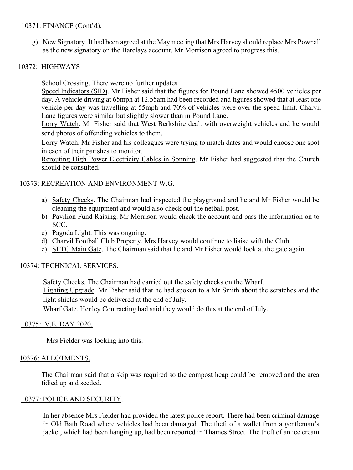## 10371: FINANCE (Cont'd).

g) New Signatory. It had been agreed at the May meeting that Mrs Harvey should replace Mrs Pownall as the new signatory on the Barclays account. Mr Morrison agreed to progress this.

## 10372: HIGHWAYS

School Crossing. There were no further updates

Speed Indicators (SID). Mr Fisher said that the figures for Pound Lane showed 4500 vehicles per day. A vehicle driving at 65mph at 12.55am had been recorded and figures showed that at least one vehicle per day was travelling at 55mph and 70% of vehicles were over the speed limit. Charvil Lane figures were similar but slightly slower than in Pound Lane.

Lorry Watch. Mr Fisher said that West Berkshire dealt with overweight vehicles and he would send photos of offending vehicles to them.

Lorry Watch. Mr Fisher and his colleagues were trying to match dates and would choose one spot in each of their parishes to monitor.

Rerouting High Power Electricity Cables in Sonning. Mr Fisher had suggested that the Church should be consulted.

## 10373: RECREATION AND ENVIRONMENT W.G.

- a) Safety Checks. The Chairman had inspected the playground and he and Mr Fisher would be cleaning the equipment and would also check out the netball post.
- b) Pavilion Fund Raising. Mr Morrison would check the account and pass the information on to SCC.
- c) Pagoda Light. This was ongoing.
- d) Charvil Football Club Property. Mrs Harvey would continue to liaise with the Club.
- e) SLTC Main Gate. The Chairman said that he and Mr Fisher would look at the gate again.

### 10374: TECHNICAL SERVICES.

Safety Checks. The Chairman had carried out the safety checks on the Wharf. Lighting Upgrade. Mr Fisher said that he had spoken to a Mr Smith about the scratches and the light shields would be delivered at the end of July.

Wharf Gate. Henley Contracting had said they would do this at the end of July.

### 10375: V.E. DAY 2020.

Mrs Fielder was looking into this.

### 10376: ALLOTMENTS.

The Chairman said that a skip was required so the compost heap could be removed and the area tidied up and seeded.

### 10377: POLICE AND SECURITY.

In her absence Mrs Fielder had provided the latest police report. There had been criminal damage in Old Bath Road where vehicles had been damaged. The theft of a wallet from a gentleman's jacket, which had been hanging up, had been reported in Thames Street. The theft of an ice cream